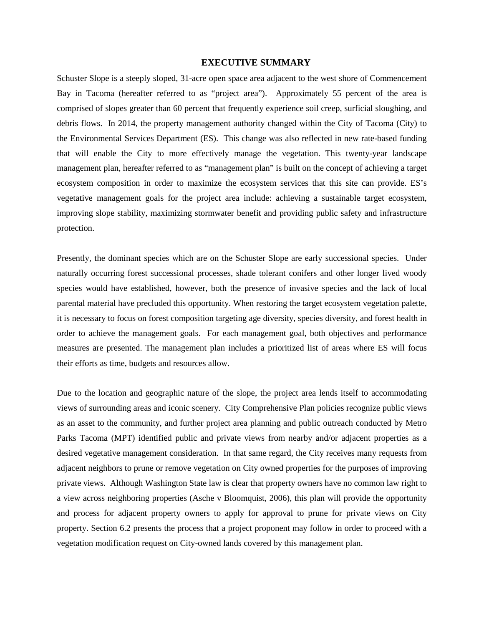## **EXECUTIVE SUMMARY**

Schuster Slope is a steeply sloped, 31-acre open space area adjacent to the west shore of Commencement Bay in Tacoma (hereafter referred to as "project area"). Approximately 55 percent of the area is comprised of slopes greater than 60 percent that frequently experience soil creep, surficial sloughing, and debris flows. In 2014, the property management authority changed within the City of Tacoma (City) to the Environmental Services Department (ES). This change was also reflected in new rate-based funding that will enable the City to more effectively manage the vegetation. This twenty-year landscape management plan, hereafter referred to as "management plan" is built on the concept of achieving a target ecosystem composition in order to maximize the ecosystem services that this site can provide. ES's vegetative management goals for the project area include: achieving a sustainable target ecosystem, improving slope stability, maximizing stormwater benefit and providing public safety and infrastructure protection.

Presently, the dominant species which are on the Schuster Slope are early successional species. Under naturally occurring forest successional processes, shade tolerant conifers and other longer lived woody species would have established, however, both the presence of invasive species and the lack of local parental material have precluded this opportunity. When restoring the target ecosystem vegetation palette, it is necessary to focus on forest composition targeting age diversity, species diversity, and forest health in order to achieve the management goals. For each management goal, both objectives and performance measures are presented. The management plan includes a prioritized list of areas where ES will focus their efforts as time, budgets and resources allow.

Due to the location and geographic nature of the slope, the project area lends itself to accommodating views of surrounding areas and iconic scenery. City Comprehensive Plan policies recognize public views as an asset to the community, and further project area planning and public outreach conducted by Metro Parks Tacoma (MPT) identified public and private views from nearby and/or adjacent properties as a desired vegetative management consideration. In that same regard, the City receives many requests from adjacent neighbors to prune or remove vegetation on City owned properties for the purposes of improving private views. Although Washington State law is clear that property owners have no common law right to a view across neighboring properties (Asche v Bloomquist, 2006), this plan will provide the opportunity and process for adjacent property owners to apply for approval to prune for private views on City property. Section 6.2 presents the process that a project proponent may follow in order to proceed with a vegetation modification request on City-owned lands covered by this management plan.